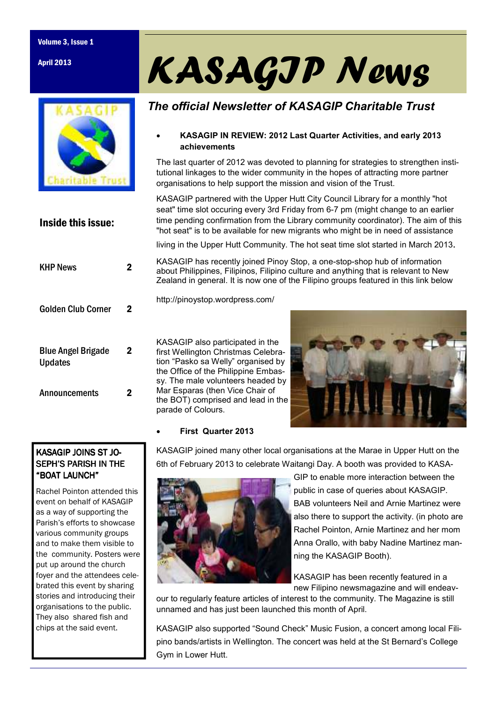#### Volume 3, Issue 1

April 2013



Inside this issue:

# KASAGIP News

## *The official Newsletter of KASAGIP Charitable Trust*

#### • **KASAGIP IN REVIEW: 2012 Last Quarter Activities, and early 2013 achievements**

The last quarter of 2012 was devoted to planning for strategies to strengthen institutional linkages to the wider community in the hopes of attracting more partner organisations to help support the mission and vision of the Trust.

KASAGIP partnered with the Upper Hutt City Council Library for a monthly "hot seat" time slot occuring every 3rd Friday from 6-7 pm (might change to an earlier time pending confirmation from the Library community coordinator). The aim of this "hot seat" is to be available for new migrants who might be in need of assistance

living in the Upper Hutt Community. The hot seat time slot started in March 2013.

KASAGIP has recently joined Pinoy Stop, a one-stop-shop hub of information about Philippines, Filipinos, Filipino culture and anything that is relevant to New Zealand in general. It is now one of the Filipino groups featured in this link below

| Golden Club Corner                          | 2 |
|---------------------------------------------|---|
| <b>Blue Angel Brigade</b><br><b>Updates</b> | 2 |
| Announcements                               |   |

KHP News 2

KASAGIP also participated in the first Wellington Christmas Celebration "Pasko sa Welly" organised by the Office of the Philippine Embassy. The male volunteers headed by

Mar Esparas (then Vice Chair of

http://pinoystop.wordpress.com/



#### • **First Quarter 2013**

parade of Colours.

KASAGIP joined many other local organisations at the Marae in Upper Hutt on the 6th of February 2013 to celebrate Waitangi Day. A booth was provided to KASA-



GIP to enable more interaction between the public in case of queries about KASAGIP. BAB volunteers Neil and Arnie Martinez were also there to support the activity. (in photo are Rachel Pointon, Arnie Martinez and her mom Anna Orallo, with baby Nadine Martinez manning the KASAGIP Booth).

KASAGIP has been recently featured in a new Filipino newsmagazine and will endeav-

our to regularly feature articles of interest to the community. The Magazine is still unnamed and has just been launched this month of April.

KASAGIP also supported "Sound Check" Music Fusion, a concert among local Filipino bands/artists in Wellington. The concert was held at the St Bernard's College Gym in Lower Hutt.

### KASAGIP JOINS ST JO-SEPH'S PARISH IN THE "BOAT LAUNCH" "BOAT LAUNCH"

Rachel Pointon attended this event on behalf of KASAGIP as a way of supporting the Parish's efforts to showcase various community groups and to make them visible to the community. Posters were put up around the church foyer and the attendees celebrated this event by sharing stories and introducing their organisations to the public. They also shared fish and chips at the said event.